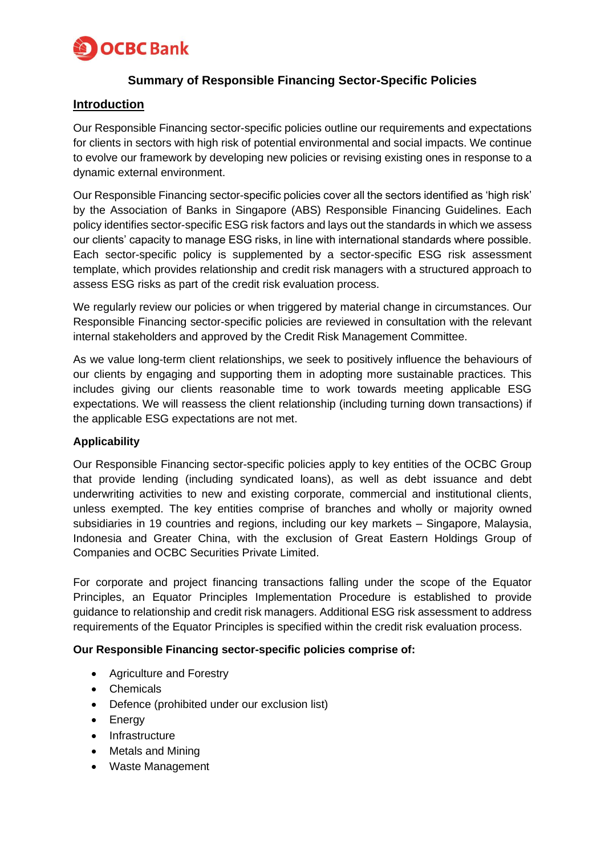

## **Summary of Responsible Financing Sector-Specific Policies**

### **Introduction**

Our Responsible Financing sector-specific policies outline our requirements and expectations for clients in sectors with high risk of potential environmental and social impacts. We continue to evolve our framework by developing new policies or revising existing ones in response to a dynamic external environment.

Our Responsible Financing sector-specific policies cover all the sectors identified as 'high risk' by the Association of Banks in Singapore (ABS) Responsible Financing Guidelines. Each policy identifies sector-specific ESG risk factors and lays out the standards in which we assess our clients' capacity to manage ESG risks, in line with international standards where possible. Each sector-specific policy is supplemented by a sector-specific ESG risk assessment template, which provides relationship and credit risk managers with a structured approach to assess ESG risks as part of the credit risk evaluation process.

We regularly review our policies or when triggered by material change in circumstances. Our Responsible Financing sector-specific policies are reviewed in consultation with the relevant internal stakeholders and approved by the Credit Risk Management Committee.

As we value long-term client relationships, we seek to positively influence the behaviours of our clients by engaging and supporting them in adopting more sustainable practices. This includes giving our clients reasonable time to work towards meeting applicable ESG expectations. We will reassess the client relationship (including turning down transactions) if the applicable ESG expectations are not met.

#### **Applicability**

Our Responsible Financing sector-specific policies apply to key entities of the OCBC Group that provide lending (including syndicated loans), as well as debt issuance and debt underwriting activities to new and existing corporate, commercial and institutional clients, unless exempted. The key entities comprise of branches and wholly or majority owned subsidiaries in 19 countries and regions, including our key markets – Singapore, Malaysia, Indonesia and Greater China, with the exclusion of Great Eastern Holdings Group of Companies and OCBC Securities Private Limited.

For corporate and project financing transactions falling under the scope of the Equator Principles, an Equator Principles Implementation Procedure is established to provide guidance to relationship and credit risk managers. Additional ESG risk assessment to address requirements of the Equator Principles is specified within the credit risk evaluation process.

#### **Our Responsible Financing sector-specific policies comprise of:**

- Agriculture and Forestry
- Chemicals
- Defence (prohibited under our exclusion list)
- Energy
- Infrastructure
- Metals and Mining
- Waste Management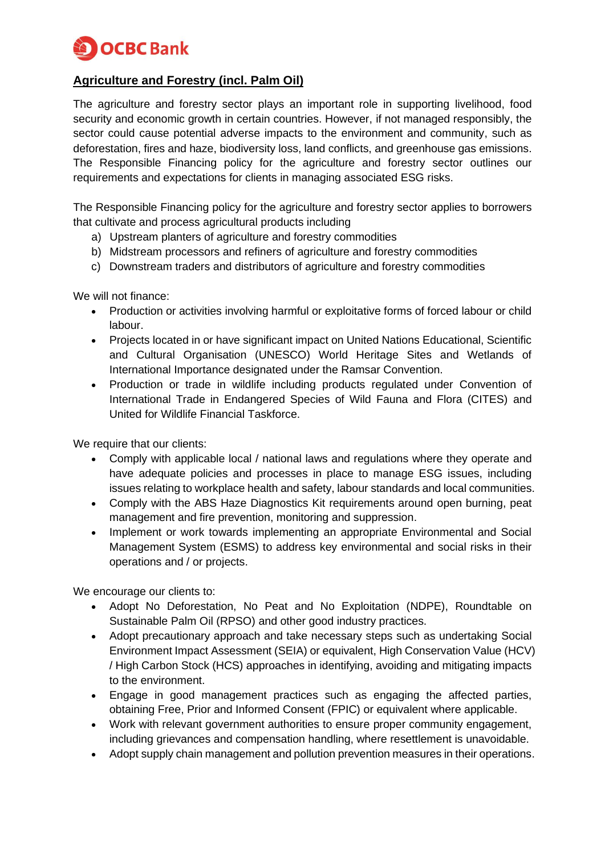

# **Agriculture and Forestry (incl. Palm Oil)**

The agriculture and forestry sector plays an important role in supporting livelihood, food security and economic growth in certain countries. However, if not managed responsibly, the sector could cause potential adverse impacts to the environment and community, such as deforestation, fires and haze, biodiversity loss, land conflicts, and greenhouse gas emissions. The Responsible Financing policy for the agriculture and forestry sector outlines our requirements and expectations for clients in managing associated ESG risks.

The Responsible Financing policy for the agriculture and forestry sector applies to borrowers that cultivate and process agricultural products including

- a) Upstream planters of agriculture and forestry commodities
- b) Midstream processors and refiners of agriculture and forestry commodities
- c) Downstream traders and distributors of agriculture and forestry commodities

We will not finance:

- Production or activities involving harmful or exploitative forms of forced labour or child labour.
- Projects located in or have significant impact on United Nations Educational, Scientific and Cultural Organisation (UNESCO) World Heritage Sites and Wetlands of International Importance designated under the Ramsar Convention.
- Production or trade in wildlife including products regulated under Convention of International Trade in Endangered Species of Wild Fauna and Flora (CITES) and United for Wildlife Financial Taskforce.

We require that our clients:

- Comply with applicable local / national laws and regulations where they operate and have adequate policies and processes in place to manage ESG issues, including issues relating to workplace health and safety, labour standards and local communities.
- Comply with the ABS Haze Diagnostics Kit requirements around open burning, peat management and fire prevention, monitoring and suppression.
- Implement or work towards implementing an appropriate Environmental and Social Management System (ESMS) to address key environmental and social risks in their operations and / or projects.

We encourage our clients to:

- Adopt No Deforestation, No Peat and No Exploitation (NDPE), Roundtable on Sustainable Palm Oil (RPSO) and other good industry practices.
- Adopt precautionary approach and take necessary steps such as undertaking Social Environment Impact Assessment (SEIA) or equivalent, High Conservation Value (HCV) / High Carbon Stock (HCS) approaches in identifying, avoiding and mitigating impacts to the environment.
- Engage in good management practices such as engaging the affected parties, obtaining Free, Prior and Informed Consent (FPIC) or equivalent where applicable.
- Work with relevant government authorities to ensure proper community engagement, including grievances and compensation handling, where resettlement is unavoidable.
- Adopt supply chain management and pollution prevention measures in their operations.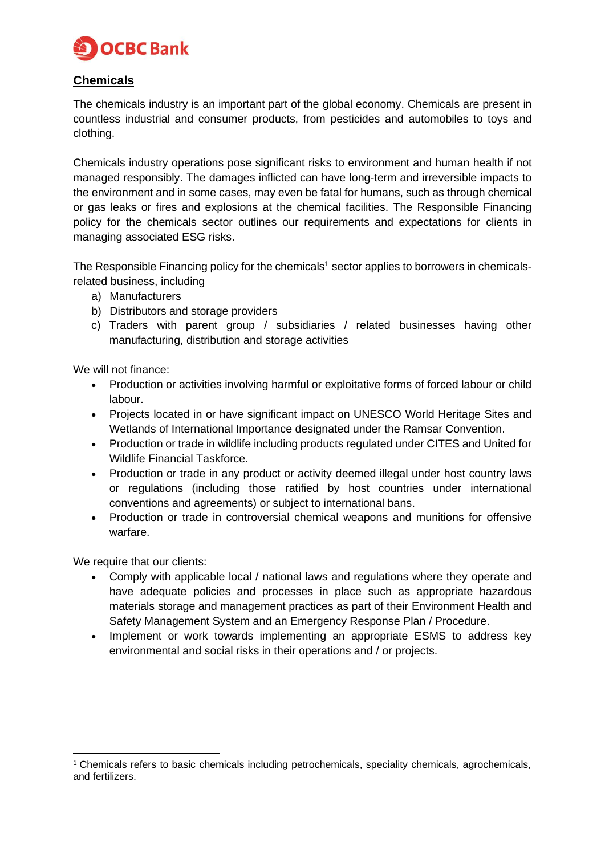

## **Chemicals**

The chemicals industry is an important part of the global economy. Chemicals are present in countless industrial and consumer products, from pesticides and automobiles to toys and clothing.

Chemicals industry operations pose significant risks to environment and human health if not managed responsibly. The damages inflicted can have long-term and irreversible impacts to the environment and in some cases, may even be fatal for humans, such as through chemical or gas leaks or fires and explosions at the chemical facilities. The Responsible Financing policy for the chemicals sector outlines our requirements and expectations for clients in managing associated ESG risks.

The Responsible Financing policy for the chemicals<sup>1</sup> sector applies to borrowers in chemicalsrelated business, including

- a) Manufacturers
- b) Distributors and storage providers
- c) Traders with parent group / subsidiaries / related businesses having other manufacturing, distribution and storage activities

We will not finance:

- Production or activities involving harmful or exploitative forms of forced labour or child labour.
- Projects located in or have significant impact on UNESCO World Heritage Sites and Wetlands of International Importance designated under the Ramsar Convention.
- Production or trade in wildlife including products regulated under CITES and United for Wildlife Financial Taskforce.
- Production or trade in any product or activity deemed illegal under host country laws or regulations (including those ratified by host countries under international conventions and agreements) or subject to international bans.
- Production or trade in controversial chemical weapons and munitions for offensive warfare.

We require that our clients:

- Comply with applicable local / national laws and regulations where they operate and have adequate policies and processes in place such as appropriate hazardous materials storage and management practices as part of their Environment Health and Safety Management System and an Emergency Response Plan / Procedure.
- Implement or work towards implementing an appropriate ESMS to address key environmental and social risks in their operations and / or projects.

<sup>1</sup> Chemicals refers to basic chemicals including petrochemicals, speciality chemicals, agrochemicals, and fertilizers.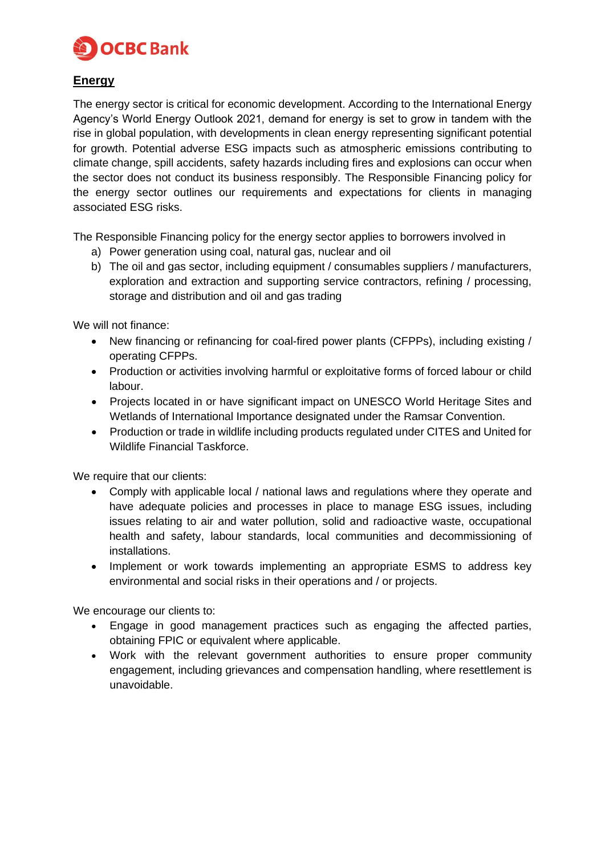

## **Energy**

The energy sector is critical for economic development. According to the International Energy Agency's World Energy Outlook 2021, demand for energy is set to grow in tandem with the rise in global population, with developments in clean energy representing significant potential for growth. Potential adverse ESG impacts such as atmospheric emissions contributing to climate change, spill accidents, safety hazards including fires and explosions can occur when the sector does not conduct its business responsibly. The Responsible Financing policy for the energy sector outlines our requirements and expectations for clients in managing associated ESG risks.

The Responsible Financing policy for the energy sector applies to borrowers involved in

- a) Power generation using coal, natural gas, nuclear and oil
- b) The oil and gas sector, including equipment / consumables suppliers / manufacturers, exploration and extraction and supporting service contractors, refining / processing, storage and distribution and oil and gas trading

We will not finance:

- New financing or refinancing for coal-fired power plants (CFPPs), including existing / operating CFPPs.
- Production or activities involving harmful or exploitative forms of forced labour or child labour.
- Projects located in or have significant impact on UNESCO World Heritage Sites and Wetlands of International Importance designated under the Ramsar Convention.
- Production or trade in wildlife including products regulated under CITES and United for Wildlife Financial Taskforce.

We require that our clients:

- Comply with applicable local / national laws and regulations where they operate and have adequate policies and processes in place to manage ESG issues, including issues relating to air and water pollution, solid and radioactive waste, occupational health and safety, labour standards, local communities and decommissioning of installations.
- Implement or work towards implementing an appropriate ESMS to address key environmental and social risks in their operations and / or projects.

We encourage our clients to:

- Engage in good management practices such as engaging the affected parties, obtaining FPIC or equivalent where applicable.
- Work with the relevant government authorities to ensure proper community engagement, including grievances and compensation handling, where resettlement is unavoidable.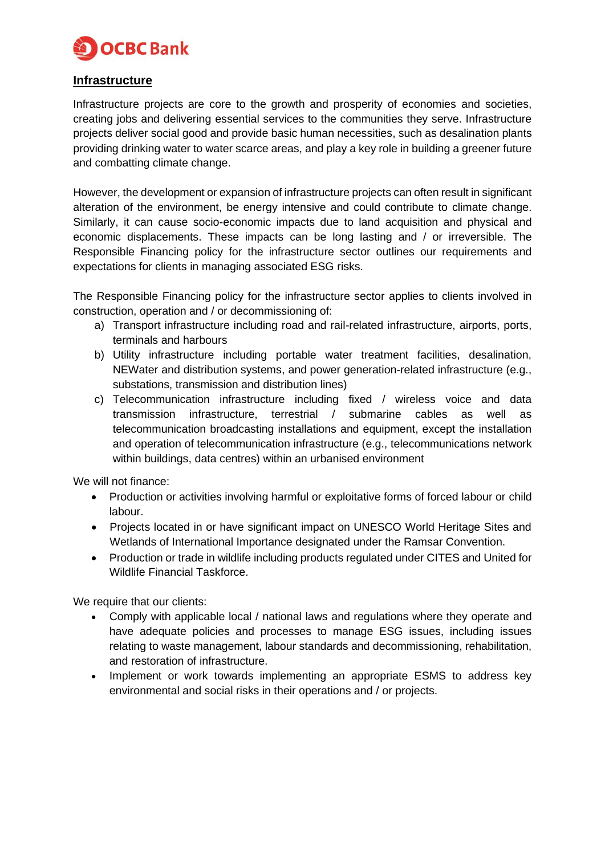

#### **Infrastructure**

Infrastructure projects are core to the growth and prosperity of economies and societies, creating jobs and delivering essential services to the communities they serve. Infrastructure projects deliver social good and provide basic human necessities, such as desalination plants providing drinking water to water scarce areas, and play a key role in building a greener future and combatting climate change.

However, the development or expansion of infrastructure projects can often result in significant alteration of the environment, be energy intensive and could contribute to climate change. Similarly, it can cause socio-economic impacts due to land acquisition and physical and economic displacements. These impacts can be long lasting and / or irreversible. The Responsible Financing policy for the infrastructure sector outlines our requirements and expectations for clients in managing associated ESG risks.

The Responsible Financing policy for the infrastructure sector applies to clients involved in construction, operation and / or decommissioning of:

- a) Transport infrastructure including road and rail-related infrastructure, airports, ports, terminals and harbours
- b) Utility infrastructure including portable water treatment facilities, desalination, NEWater and distribution systems, and power generation-related infrastructure (e.g., substations, transmission and distribution lines)
- c) Telecommunication infrastructure including fixed / wireless voice and data transmission infrastructure, terrestrial / submarine cables as well as telecommunication broadcasting installations and equipment, except the installation and operation of telecommunication infrastructure (e.g., telecommunications network within buildings, data centres) within an urbanised environment

We will not finance:

- Production or activities involving harmful or exploitative forms of forced labour or child labour.
- Projects located in or have significant impact on UNESCO World Heritage Sites and Wetlands of International Importance designated under the Ramsar Convention.
- Production or trade in wildlife including products regulated under CITES and United for Wildlife Financial Taskforce.

We require that our clients:

- Comply with applicable local / national laws and regulations where they operate and have adequate policies and processes to manage ESG issues, including issues relating to waste management, labour standards and decommissioning, rehabilitation, and restoration of infrastructure.
- Implement or work towards implementing an appropriate ESMS to address key environmental and social risks in their operations and / or projects.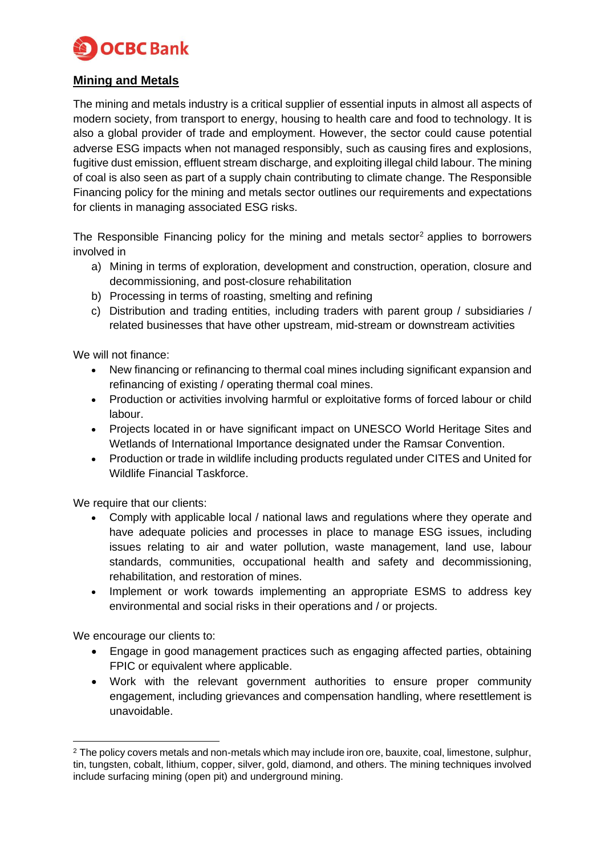

### **Mining and Metals**

The mining and metals industry is a critical supplier of essential inputs in almost all aspects of modern society, from transport to energy, housing to health care and food to technology. It is also a global provider of trade and employment. However, the sector could cause potential adverse ESG impacts when not managed responsibly, such as causing fires and explosions, fugitive dust emission, effluent stream discharge, and exploiting illegal child labour. The mining of coal is also seen as part of a supply chain contributing to climate change. The Responsible Financing policy for the mining and metals sector outlines our requirements and expectations for clients in managing associated ESG risks.

The Responsible Financing policy for the mining and metals sector<sup>2</sup> applies to borrowers involved in

- a) Mining in terms of exploration, development and construction, operation, closure and decommissioning, and post-closure rehabilitation
- b) Processing in terms of roasting, smelting and refining
- c) Distribution and trading entities, including traders with parent group / subsidiaries / related businesses that have other upstream, mid-stream or downstream activities

We will not finance:

- New financing or refinancing to thermal coal mines including significant expansion and refinancing of existing / operating thermal coal mines.
- Production or activities involving harmful or exploitative forms of forced labour or child labour.
- Projects located in or have significant impact on UNESCO World Heritage Sites and Wetlands of International Importance designated under the Ramsar Convention.
- Production or trade in wildlife including products regulated under CITES and United for Wildlife Financial Taskforce.

We require that our clients:

- Comply with applicable local / national laws and regulations where they operate and have adequate policies and processes in place to manage ESG issues, including issues relating to air and water pollution, waste management, land use, labour standards, communities, occupational health and safety and decommissioning, rehabilitation, and restoration of mines.
- Implement or work towards implementing an appropriate ESMS to address key environmental and social risks in their operations and / or projects.

We encourage our clients to:

- Engage in good management practices such as engaging affected parties, obtaining FPIC or equivalent where applicable.
- Work with the relevant government authorities to ensure proper community engagement, including grievances and compensation handling, where resettlement is unavoidable.

<sup>&</sup>lt;sup>2</sup> The policy covers metals and non-metals which may include iron ore, bauxite, coal, limestone, sulphur, tin, tungsten, cobalt, lithium, copper, silver, gold, diamond, and others. The mining techniques involved include surfacing mining (open pit) and underground mining.